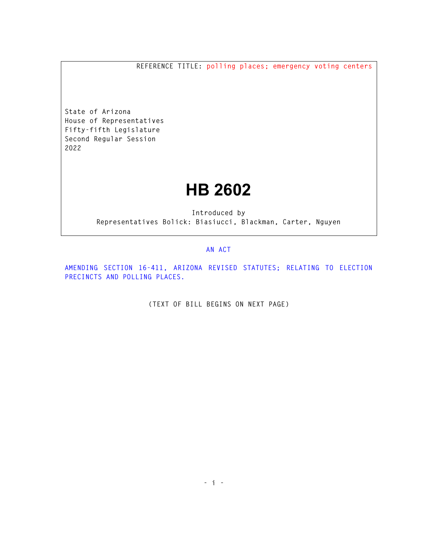**REFERENCE TITLE: polling places; emergency voting centers** 

**State of Arizona House of Representatives Fifty-fifth Legislature Second Regular Session 2022** 

## **HB 2602**

**Introduced by Representatives Bolick: Biasiucci, Blackman, Carter, Nguyen** 

## **AN ACT**

**AMENDING SECTION 16-411, ARIZONA REVISED STATUTES; RELATING TO ELECTION PRECINCTS AND POLLING PLACES.** 

**(TEXT OF BILL BEGINS ON NEXT PAGE)**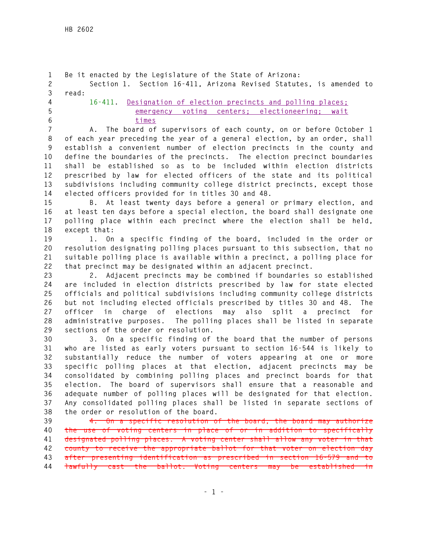```
1 Be it enacted by the Legislature of the State of Arizona: 
2 Section 1. Section 16-411, Arizona Revised Statutes, is amended to 
3 read: 
4 16-411. Designation of election precincts and polling places; 
5 emergency voting centers; electioneering; wait 
6 times
7 A. The board of supervisors of each county, on or before October 1 
8 of each year preceding the year of a general election, by an order, shall 
9 establish a convenient number of election precincts in the county and 
10 define the boundaries of the precincts. The election precinct boundaries 
11 shall be established so as to be included within election districts 
12 prescribed by law for elected officers of the state and its political 
13 subdivisions including community college district precincts, except those 
14 elected officers provided for in titles 30 and 48. 
15 B. At least twenty days before a general or primary election, and 
16 at least ten days before a special election, the board shall designate one 
17 polling place within each precinct where the election shall be held, 
18 except that: 
19 1. On a specific finding of the board, included in the order or 
20 resolution designating polling places pursuant to this subsection, that no 
21 suitable polling place is available within a precinct, a polling place for 
22 that precinct may be designated within an adjacent precinct. 
23 2. Adjacent precincts may be combined if boundaries so established 
24 are included in election districts prescribed by law for state elected 
25 officials and political subdivisions including community college districts 
26 but not including elected officials prescribed by titles 30 and 48. The 
27 officer in charge of elections may also split a precinct for 
28 administrative purposes. The polling places shall be listed in separate 
29 sections of the order or resolution. 
30 3. On a specific finding of the board that the number of persons 
31 who are listed as early voters pursuant to section 16-544 is likely to 
32 substantially reduce the number of voters appearing at one or more 
33 specific polling places at that election, adjacent precincts may be 
34 consolidated by combining polling places and precinct boards for that 
35 election. The board of supervisors shall ensure that a reasonable and 
36 adequate number of polling places will be designated for that election. 
37 Any consolidated polling places shall be listed in separate sections of 
38 the order or resolution of the board. 
39 4. On a specific resolution of the board, the board may authorize 
40 the use of voting centers in place of or in addition to specifically 
41 designated polling places. A voting center shall allow any voter in that 
42 county to receive the appropriate ballot for that voter on election day 
43 after presenting identification as prescribed in section 16-579 and to 
44 lawfully cast the ballot. Voting centers may be established in
```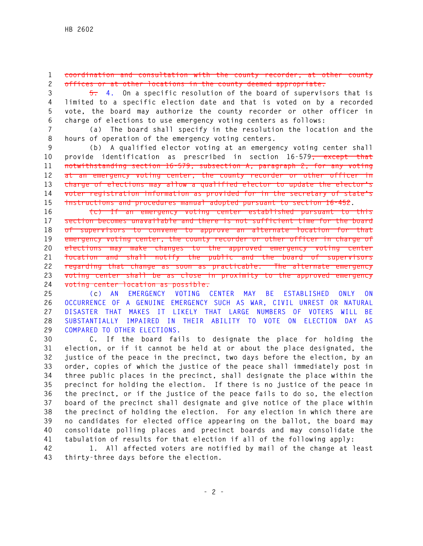## **1 coordination and consultation with the county recorder, at other county 2 offices or at other locations in the county deemed appropriate.**

**3 5. 4. On a specific resolution of the board of supervisors that is 4 limited to a specific election date and that is voted on by a recorded 5 vote, the board may authorize the county recorder or other officer in 6 charge of elections to use emergency voting centers as follows:** 

**7 (a) The board shall specify in the resolution the location and the 8 hours of operation of the emergency voting centers.** 

**9 (b) A qualified elector voting at an emergency voting center shall 10 provide identification as prescribed in section 16-579, except that 11 notwithstanding section 16-579, subsection A, paragraph 2, for any voting 12 at an emergency voting center, the county recorder or other officer in 13 charge of elections may allow a qualified elector to update the elector's 14 voter registration information as provided for in the secretary of state's 15 instructions and procedures manual adopted pursuant to section 16-452.** 

**16 (c) If an emergency voting center established pursuant to this 17 section becomes unavailable and there is not sufficient time for the board 18 of supervisors to convene to approve an alternate location for that 19 emergency voting center, the county recorder or other officer in charge of 20 elections may make changes to the approved emergency voting center 21 location and shall notify the public and the board of supervisors 22 regarding that change as soon as practicable. The alternate emergency 23 voting center shall be as close in proximity to the approved emergency 24 voting center location as possible.** 

**25 (c) AN EMERGENCY VOTING CENTER MAY BE ESTABLISHED ONLY ON 26 OCCURRENCE OF A GENUINE EMERGENCY SUCH AS WAR, CIVIL UNREST OR NATURAL 27 DISASTER THAT MAKES IT LIKELY THAT LARGE NUMBERS OF VOTERS WILL BE 28 SUBSTANTIALLY IMPAIRED IN THEIR ABILITY TO VOTE ON ELECTION DAY AS 29 COMPARED TO OTHER ELECTIONS.** 

**30 C. If the board fails to designate the place for holding the 31 election, or if it cannot be held at or about the place designated, the 32 justice of the peace in the precinct, two days before the election, by an 33 order, copies of which the justice of the peace shall immediately post in 34 three public places in the precinct, shall designate the place within the 35 precinct for holding the election. If there is no justice of the peace in 36 the precinct, or if the justice of the peace fails to do so, the election 37 board of the precinct shall designate and give notice of the place within 38 the precinct of holding the election. For any election in which there are 39 no candidates for elected office appearing on the ballot, the board may 40 consolidate polling places and precinct boards and may consolidate the 41 tabulation of results for that election if all of the following apply:** 

**42 1. All affected voters are notified by mail of the change at least 43 thirty-three days before the election.**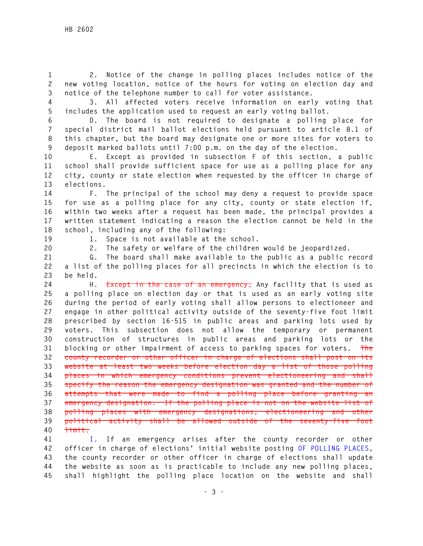**1 2. Notice of the change in polling places includes notice of the 2 new voting location, notice of the hours for voting on election day and 3 notice of the telephone number to call for voter assistance.** 

**4 3. All affected voters receive information on early voting that 5 includes the application used to request an early voting ballot.** 

**6 D. The board is not required to designate a polling place for 7 special district mail ballot elections held pursuant to article 8.1 of 8 this chapter, but the board may designate one or more sites for voters to 9 deposit marked ballots until 7:00 p.m. on the day of the election.** 

**10 E. Except as provided in subsection F of this section, a public 11 school shall provide sufficient space for use as a polling place for any 12 city, county or state election when requested by the officer in charge of 13 elections.** 

**14 F. The principal of the school may deny a request to provide space 15 for use as a polling place for any city, county or state election if, 16 within two weeks after a request has been made, the principal provides a 17 written statement indicating a reason the election cannot be held in the 18 school, including any of the following:** 

**19 1. Space is not available at the school.** 

**20 2. The safety or welfare of the children would be jeopardized.** 

**21 G. The board shall make available to the public as a public record 22 a list of the polling places for all precincts in which the election is to 23 be held.** 

**24 H. Except in the case of an emergency, Any facility that is used as 25 a polling place on election day or that is used as an early voting site 26 during the period of early voting shall allow persons to electioneer and 27 engage in other political activity outside of the seventy-five foot limit 28 prescribed by section 16-515 in public areas and parking lots used by 29 voters. This subsection does not allow the temporary or permanent 30 construction of structures in public areas and parking lots or the 31 blocking or other impairment of access to parking spaces for voters. The 32 county recorder or other officer in charge of elections shall post on its 33 website at least two weeks before election day a list of those polling 34 places in which emergency conditions prevent electioneering and shall 35 specify the reason the emergency designation was granted and the number of 36 attempts that were made to find a polling place before granting an 37 emergency designation. If the polling place is not on the website list of 38 polling places with emergency designations, electioneering and other 39 political activity shall be allowed outside of the seventy-five foot 40 limit.** 

**41 I. If an emergency arises after the county recorder or other 42 officer in charge of elections' initial website posting OF POLLING PLACES, 43 the county recorder or other officer in charge of elections shall update 44 the website as soon as is practicable to include any new polling places, 45 shall highlight the polling place location on the website and shall**